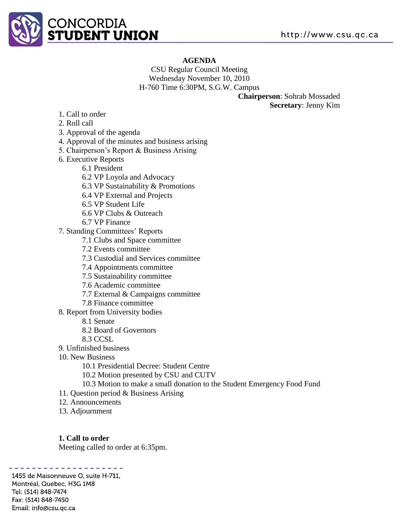

### **AGENDA**

CSU Regular Council Meeting Wednesday November 10, 2010 H-760 Time 6:30PM, S.G.W. Campus

**Chairperson**: Sohrab Mossaded **Secretary**: Jenny Kim

- 1. Call to order
- 2. Roll call
- 3. Approval of the agenda
- 4. Approval of the minutes and business arising
- 5. Chairperson's Report & Business Arising
- 6. Executive Reports
	- 6.1 President
	- 6.2 VP Loyola and Advocacy
	- 6.3 VP Sustainability & Promotions
	- 6.4 VP External and Projects
	- 6.5 VP Student Life
	- 6.6 VP Clubs & Outreach
	- 6.7 VP Finance
- 7. Standing Committees' Reports
	- 7.1 Clubs and Space committee
	- 7.2 Events committee
	- 7.3 Custodial and Services committee
	- 7.4 Appointments committee
	- 7.5 Sustainability committee
	- 7.6 Academic committee
	- 7.7 External & Campaigns committee
	- 7.8 Finance committee
- 8. Report from University bodies
	- 8.1 Senate
	- 8.2 Board of Governors
	- 8.3 CCSL
- 9. Unfinished business
- 10. New Business
	- 10.1 Presidential Decree: Student Centre
	- 10.2 Motion presented by CSU and CUTV
	- 10.3 Motion to make a small donation to the Student Emergency Food Fund
- 11. Question period & Business Arising
- 12. Announcements
- 13. Adjournment

#### **1. Call to order**

Meeting called to order at 6:35pm.

. . . . . . . . . . . . . . . . . . 1455 de Maisonneuve O, suite H-711, Montréal, Quebec, H3G 1M8 Tel: (514) 848-7474 Fax: (514) 848-7450 Email: info@csu.qc.ca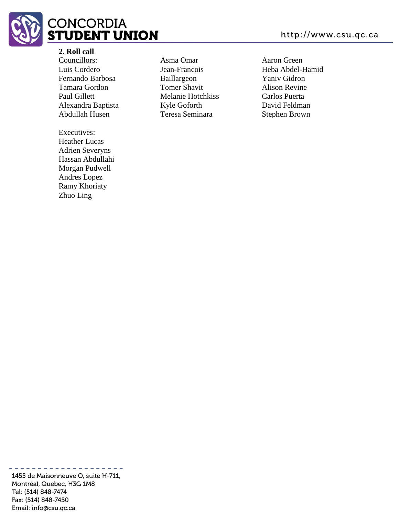

### **2. Roll call**

Councillors: Luis Cordero Fernando Barbosa Tamara Gordon Paul Gillett Alexandra Baptista Abdullah Husen

# Executives:

Heather Lucas Adrien Severyns Hassan Abdullahi Morgan Pudwell Andres Lopez Ramy Khoriaty Zhuo Ling

Asma Omar Jean-Francois Baillargeon Tomer Shavit Melanie Hotchkiss Kyle Goforth Teresa Seminara

Aaron Green Heba Abdel-Hamid Yaniv Gidron Alison Revine Carlos Puerta David Feldman Stephen Brown

1455 de Maisonneuve O, suite H-711, Montréal, Quebec, H3G 1M8 Tel: (514) 848-7474 Fax: (514) 848-7450 Email: info@csu.qc.ca

-----------------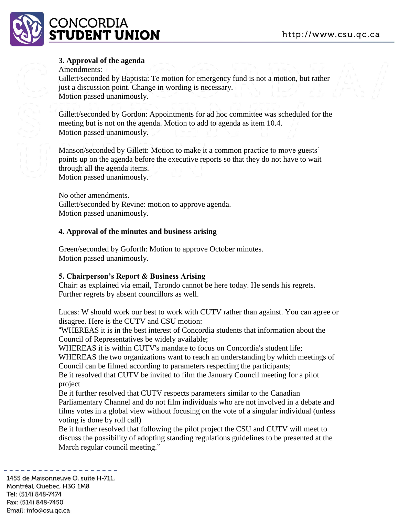

### **3. Approval of the agenda**

### Amendments:

Gillett/seconded by Baptista: Te motion for emergency fund is not a motion, but rather just a discussion point. Change in wording is necessary. Motion passed unanimously.

Gillett/seconded by Gordon: Appointments for ad hoc committee was scheduled for the meeting but is not on the agenda. Motion to add to agenda as item 10.4. Motion passed unanimously.

Manson/seconded by Gillett: Motion to make it a common practice to move guests' points up on the agenda before the executive reports so that they do not have to wait through all the agenda items. Motion passed unanimously.

No other amendments. Gillett/seconded by Revine: motion to approve agenda. Motion passed unanimously.

### **4. Approval of the minutes and business arising**

Green/seconded by Goforth: Motion to approve October minutes. Motion passed unanimously.

### **5. Chairperson's Report & Business Arising**

Chair: as explained via email, Tarondo cannot be here today. He sends his regrets. Further regrets by absent councillors as well.

Lucas: W should work our best to work with CUTV rather than against. You can agree or disagree. Here is the CUTV and CSU motion:

"WHEREAS it is in the best interest of Concordia students that information about the Council of Representatives be widely available;

WHEREAS it is within CUTV's mandate to focus on Concordia's student life;

WHEREAS the two organizations want to reach an understanding by which meetings of Council can be filmed according to parameters respecting the participants;

Be it resolved that CUTV be invited to film the January Council meeting for a pilot project

Be it further resolved that CUTV respects parameters similar to the Canadian Parliamentary Channel and do not film individuals who are not involved in a debate and films votes in a global view without focusing on the vote of a singular individual (unless voting is done by roll call)

Be it further resolved that following the pilot project the CSU and CUTV will meet to discuss the possibility of adopting standing regulations guidelines to be presented at the March regular council meeting."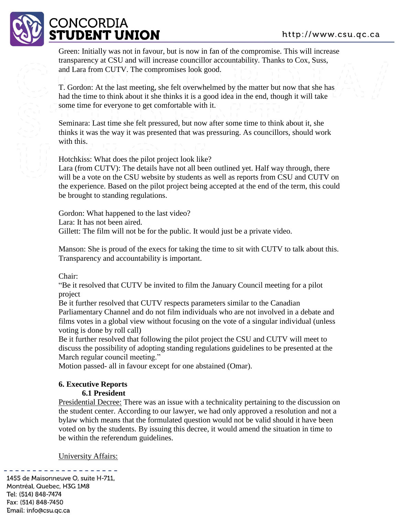

Green: Initially was not in favour, but is now in fan of the compromise. This will increase transparency at CSU and will increase councillor accountability. Thanks to Cox, Suss, and Lara from CUTV. The compromises look good.

T. Gordon: At the last meeting, she felt overwhelmed by the matter but now that she has had the time to think about it she thinks it is a good idea in the end, though it will take some time for everyone to get comfortable with it.

Seminara: Last time she felt pressured, but now after some time to think about it, she thinks it was the way it was presented that was pressuring. As councillors, should work with this.

Hotchkiss: What does the pilot project look like?

Lara (from CUTV): The details have not all been outlined yet. Half way through, there will be a vote on the CSU website by students as well as reports from CSU and CUTV on the experience. Based on the pilot project being accepted at the end of the term, this could be brought to standing regulations.

Gordon: What happened to the last video? Lara: It has not been aired. Gillett: The film will not be for the public. It would just be a private video.

Manson: She is proud of the execs for taking the time to sit with CUTV to talk about this. Transparency and accountability is important.

Chair:

"Be it resolved that CUTV be invited to film the January Council meeting for a pilot project

Be it further resolved that CUTV respects parameters similar to the Canadian Parliamentary Channel and do not film individuals who are not involved in a debate and films votes in a global view without focusing on the vote of a singular individual (unless voting is done by roll call)

Be it further resolved that following the pilot project the CSU and CUTV will meet to discuss the possibility of adopting standing regulations guidelines to be presented at the March regular council meeting."

Motion passed- all in favour except for one abstained (Omar).

# **6. Executive Reports**

**6.1 President** 

Presidential Decree: There was an issue with a technicality pertaining to the discussion on the student center. According to our lawyer, we had only approved a resolution and not a bylaw which means that the formulated question would not be valid should it have been voted on by the students. By issuing this decree, it would amend the situation in time to be within the referendum guidelines.

University Affairs:

1455 de Maisonneuve O, suite H-711, Montréal, Quebec, H3G 1M8 Tel: (514) 848-7474 Fax: (514) 848-7450 Email: info@csu.gc.ca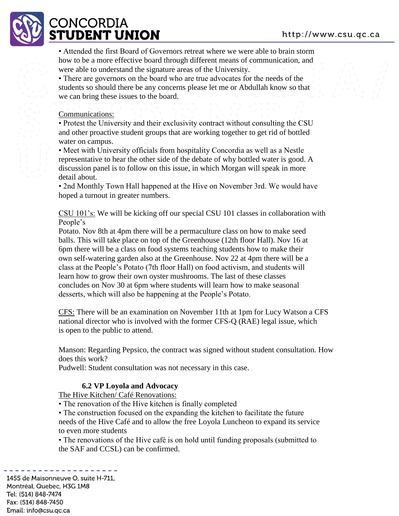

• Attended the first Board of Governors retreat where we were able to brain storm how to be a more effective board through different means of communication, and were able to understand the signature areas of the University.

• There are governors on the board who are true advocates for the needs of the students so should there be any concerns please let me or Abdullah know so that we can bring these issues to the board.

### Communications:

• Protest the University and their exclusivity contract without consulting the CSU and other proactive student groups that are working together to get rid of bottled water on campus.

• Meet with University officials from hospitality Concordia as well as a Nestle representative to hear the other side of the debate of why bottled water is good. A discussion panel is to follow on this issue, in which Morgan will speak in more detail about.

• 2nd Monthly Town Hall happened at the Hive on November 3rd. We would have hoped a turnout in greater numbers.

CSU 101's: We will be kicking off our special CSU 101 classes in collaboration with People's

Potato. Nov 8th at 4pm there will be a permaculture class on how to make seed balls. This will take place on top of the Greenhouse (12th floor Hall). Nov 16 at 6pm there will be a class on food systems teaching students how to make their own self-watering garden also at the Greenhouse. Nov 22 at 4pm there will be a class at the People's Potato (7th floor Hall) on food activism, and students will learn how to grow their own oyster mushrooms. The last of these classes concludes on Nov 30 at 6pm where students will learn how to make seasonal desserts, which will also be happening at the People's Potato.

CFS: There will be an examination on November 11th at 1pm for Lucy Watson a CFS national director who is involved with the former CFS-Q (RAE) legal issue, which is open to the public to attend.

Manson: Regarding Pepsico, the contract was signed without student consultation. How does this work?

Pudwell: Student consultation was not necessary in this case.

### **6.2 VP Loyola and Advocacy**

The Hive Kitchen/ Café Renovations:

• The renovation of the Hive kitchen is finally completed

• The construction focused on the expanding the kitchen to facilitate the future needs of the Hive Café and to allow the free Loyola Luncheon to expand its service to even more students

• The renovations of the Hive café is on hold until funding proposals (submitted to the SAF and CCSL) can be confirmed.

1455 de Maisonneuve O, suite H-711, Montréal, Quebec, H3G 1M8 Tel: (514) 848-7474 Fax: (514) 848-7450 Email: info@csu.gc.ca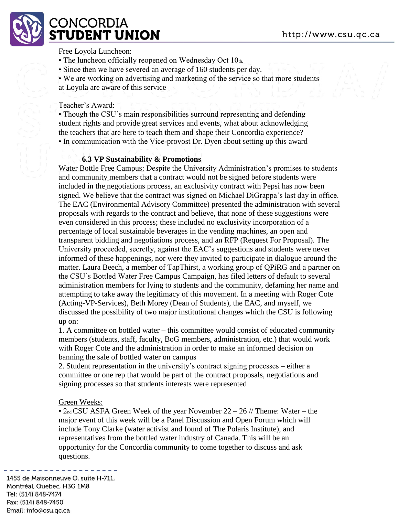

### Free Loyola Luncheon:

- The luncheon officially reopened on Wednesday Oct 10th.
- Since then we have severed an average of 160 students per day.

• We are working on advertising and marketing of the service so that more students at Loyola are aware of this service

### Teacher's Award:

• Though the CSU's main responsibilities surround representing and defending student rights and provide great services and events, what about acknowledging the teachers that are here to teach them and shape their Concordia experience? • In communication with the Vice-provost Dr. Dyen about setting up this award

### **6.3 VP Sustainability & Promotions**

Water Bottle Free Campus: Despite the University Administration's promises to students and community members that a contract would not be signed before students were included in the negotiations process, an exclusivity contract with Pepsi has now been signed. We believe that the contract was signed on Michael DiGrappa's last day in office. The EAC (Environmental Advisory Committee) presented the administration with several proposals with regards to the contract and believe, that none of these suggestions were even considered in this process; these included no exclusivity incorporation of a percentage of local sustainable beverages in the vending machines, an open and transparent bidding and negotiations process, and an RFP (Request For Proposal). The University proceeded, secretly, against the EAC's suggestions and students were never informed of these happenings, nor were they invited to participate in dialogue around the matter. Laura Beech, a member of TapThirst, a working group of QPiRG and a partner on the CSU's Bottled Water Free Campus Campaign, has filed letters of default to several administration members for lying to students and the community, defaming her name and attempting to take away the legitimacy of this movement. In a meeting with Roger Cote (Acting-VP-Services), Beth Morey (Dean of Students), the EAC, and myself, we discussed the possibility of two major institutional changes which the CSU is following up on:

1. A committee on bottled water – this committee would consist of educated community members (students, staff, faculty, BoG members, administration, etc.) that would work with Roger Cote and the administration in order to make an informed decision on banning the sale of bottled water on campus

2. Student representation in the university's contract signing processes – either a committee or one rep that would be part of the contract proposals, negotiations and signing processes so that students interests were represented

### Green Weeks:

•  $2<sub>nd</sub> CSU ASFA Green Week of the year November 22 – 26 // Theme: Water – the$ major event of this week will be a Panel Discussion and Open Forum which will include Tony Clarke (water activist and found of The Polaris Institute), and representatives from the bottled water industry of Canada. This will be an opportunity for the Concordia community to come together to discuss and ask questions.

1455 de Maisonneuve O, suite H-711, Montréal, Quebec, H3G 1M8 Tel: (514) 848-7474 Fax: (514) 848-7450 Email: info@csu.qc.ca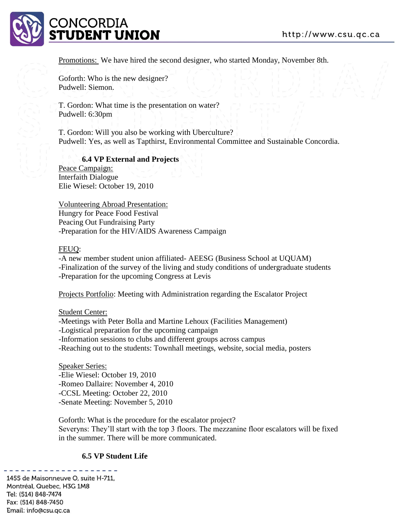

Promotions: We have hired the second designer, who started Monday, November 8th.

Goforth: Who is the new designer? Pudwell: Siemon.

T. Gordon: What time is the presentation on water? Pudwell: 6:30pm

T. Gordon: Will you also be working with Uberculture? Pudwell: Yes, as well as Tapthirst, Environmental Committee and Sustainable Concordia.

**6.4 VP External and Projects**  Peace Campaign: Interfaith Dialogue Elie Wiesel: October 19, 2010

Volunteering Abroad Presentation: Hungry for Peace Food Festival Peacing Out Fundraising Party -Preparation for the HIV/AIDS Awareness Campaign

### FEUQ:

-A new member student union affiliated- AEESG (Business School at UQUAM) -Finalization of the survey of the living and study conditions of undergraduate students -Preparation for the upcoming Congress at Levis

Projects Portfolio: Meeting with Administration regarding the Escalator Project

#### Student Center:

-Meetings with Peter Bolla and Martine Lehoux (Facilities Management) -Logistical preparation for the upcoming campaign -Information sessions to clubs and different groups across campus -Reaching out to the students: Townhall meetings, website, social media, posters

Speaker Series: -Elie Wiesel: October 19, 2010 -Romeo Dallaire: November 4, 2010 -CCSL Meeting: October 22, 2010 -Senate Meeting: November 5, 2010

Goforth: What is the procedure for the escalator project? Severyns: They'll start with the top 3 floors. The mezzanine floor escalators will be fixed in the summer. There will be more communicated.

#### **6.5 VP Student Life**

1455 de Maisonneuve O, suite H-711, Montréal, Quebec, H3G 1M8 Tel: (514) 848-7474 Fax: (514) 848-7450 Email: info@csu.gc.ca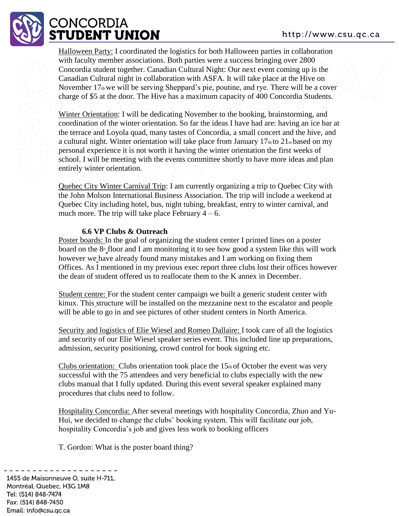# **CONCORDIA :TUDENT UNION**

Halloween Party: I coordinated the logistics for both Halloween parties in collaboration with faculty member associations. Both parties were a success bringing over 2800 Concordia student together. Canadian Cultural Night: Our next event coming up is the Canadian Cultural night in collaboration with ASFA. It will take place at the Hive on November 17th we will be serving Sheppard's pie, poutine, and rye. There will be a cover charge of \$5 at the door. The Hive has a maximum capacity of 400 Concordia Students.

Winter Orientation: I will be dedicating November to the booking, brainstorming, and coordination of the winter orientation. So far the ideas I have had are: having an ice bar at the terrace and Loyola quad, many tastes of Concordia, a small concert and the hive, and a cultural night. Winter orientation will take place from January  $17<sub>th</sub>$  to  $21<sub>st</sub>$  based on my personal experience it is not worth it having the winter orientation the first weeks of school. I will be meeting with the events committee shortly to have more ideas and plan entirely winter orientation.

Quebec City Winter Carnival Trip: I am currently organizing a trip to Quebec City with the John Molson International Business Association. The trip will include a weekend at Quebec City including hotel, bus, night tubing, breakfast, entry to winter carnival, and much more. The trip will take place February  $4 - 6$ .

# **6.6 VP Clubs & Outreach**

Poster boards: In the goal of organizing the student center I printed lines on a poster board on the  $8<sup>th</sup>$  floor and I am monitoring it to see how good a system like this will work however we have already found many mistakes and I am working on fixing them Offices. As I mentioned in my previous exec report three clubs lost their offices however the dean of student offered us to reallocate them to the K annex in December.

Student centre: For the student center campaign we built a generic student center with kinux. This structure will be installed on the mezzanine next to the escalator and people will be able to go in and see pictures of other student centers in North America.

Security and logistics of Elie Wiesel and Romeo Dallaire: I took care of all the logistics and security of our Elie Wiesel speaker series event. This included line up preparations, admission, security positioning, crowd control for book signing etc.

Clubs orientation: Clubs orientation took place the  $15<sub>th</sub>$  of October the event was very successful with the 75 attendees and very beneficial to clubs especially with the new clubs manual that I fully updated. During this event several speaker explained many procedures that clubs need to follow.

Hospitality Concordia: After several meetings with hospitality Concordia, Zhuo and Yu-Hui, we decided to change the clubs' booking system. This will facilitate our job, hospitality Concordia's job and gives less work to booking officers

T. Gordon: What is the poster board thing?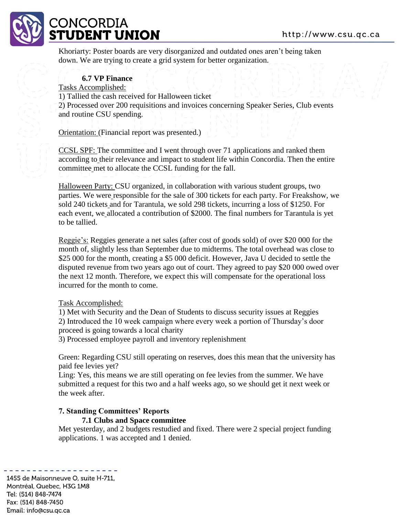

# **ONCORDIA** 'UDENT UNION

Khoriarty: Poster boards are very disorganized and outdated ones aren't being taken down. We are trying to create a grid system for better organization.

## **6.7 VP Finance**

Tasks Accomplished:

1) Tallied the cash received for Halloween ticket

2) Processed over 200 requisitions and invoices concerning Speaker Series, Club events and routine CSU spending.

**Orientation:** (Financial report was presented.)

CCSL SPF: The committee and I went through over 71 applications and ranked them according to their relevance and impact to student life within Concordia. Then the entire committee met to allocate the CCSL funding for the fall.

Halloween Party: CSU organized, in collaboration with various student groups, two parties. We were responsible for the sale of 300 tickets for each party. For Freakshow, we sold 240 tickets and for Tarantula, we sold 298 tickets, incurring a loss of \$1250. For each event, we allocated a contribution of \$2000. The final numbers for Tarantula is yet to be tallied.

Reggie's: Reggies generate a net sales (after cost of goods sold) of over \$20 000 for the month of, slightly less than September due to midterms. The total overhead was close to \$25 000 for the month, creating a \$5 000 deficit. However, Java U decided to settle the disputed revenue from two years ago out of court. They agreed to pay \$20 000 owed over the next 12 month. Therefore, we expect this will compensate for the operational loss incurred for the month to come.

### Task Accomplished:

1) Met with Security and the Dean of Students to discuss security issues at Reggies 2) Introduced the 10 week campaign where every week a portion of Thursday's door proceed is going towards a local charity

3) Processed employee payroll and inventory replenishment

Green: Regarding CSU still operating on reserves, does this mean that the university has paid fee levies yet?

Ling: Yes, this means we are still operating on fee levies from the summer. We have submitted a request for this two and a half weeks ago, so we should get it next week or the week after.

# **7. Standing Committees' Reports**

### **7.1 Clubs and Space committee**

Met yesterday, and 2 budgets restudied and fixed. There were 2 special project funding applications. 1 was accepted and 1 denied.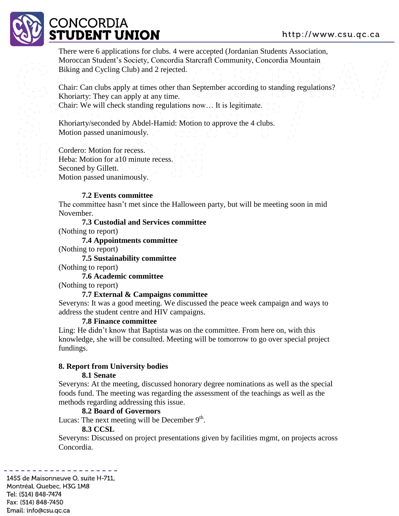# **CONCORDIA 'UDENT UNION**

There were 6 applications for clubs. 4 were accepted (Jordanian Students Association, Moroccan Student's Society, Concordia Starcraft Community, Concordia Mountain Biking and Cycling Club) and 2 rejected.

Chair: Can clubs apply at times other than September according to standing regulations? Khoriarty: They can apply at any time. Chair: We will check standing regulations now… It is legitimate.

Khoriarty/seconded by Abdel-Hamid: Motion to approve the 4 clubs. Motion passed unanimously.

Cordero: Motion for recess. Heba: Motion for a10 minute recess. Seconed by Gillett. Motion passed unanimously.

# **7.2 Events committee**

The committee hasn't met since the Halloween party, but will be meeting soon in mid November.

**7.3 Custodial and Services committee**  (Nothing to report)

**7.4 Appointments committee**  (Nothing to report)

**7.5 Sustainability committee** 

(Nothing to report)

**7.6 Academic committee** 

(Nothing to report)

### **7.7 External & Campaigns committee**

Severyns: It was a good meeting. We discussed the peace week campaign and ways to address the student centre and HIV campaigns.

### **7.8 Finance committee**

Ling: He didn't know that Baptista was on the committee. From here on, with this knowledge, she will be consulted. Meeting will be tomorrow to go over special project fundings.

# **8. Report from University bodies**

### **8.1 Senate**

Severyns: At the meeting, discussed honorary degree nominations as well as the special foods fund. The meeting was regarding the assessment of the teachings as well as the methods regarding addressing this issue.

# **8.2 Board of Governors**

Lucas: The next meeting will be December  $9<sup>th</sup>$ .

# **8.3 CCSL**

Severyns: Discussed on project presentations given by facilities mgmt, on projects across Concordia.

1455 de Maisonneuve O, suite H-711, Montréal, Quebec, H3G 1M8 Tel: (514) 848-7474 Fax: (514) 848-7450 Email: info@csu.qc.ca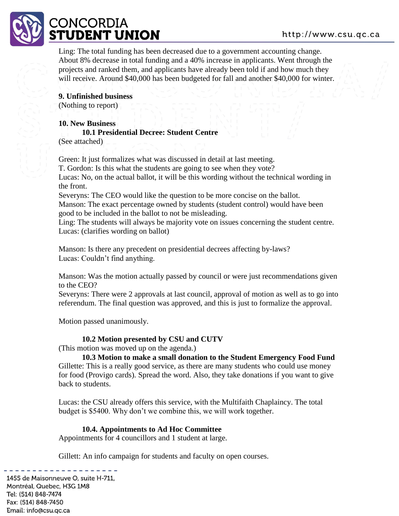

Ling: The total funding has been decreased due to a government accounting change. About 8% decrease in total funding and a 40% increase in applicants. Went through the projects and ranked them, and applicants have already been told if and how much they will receive. Around \$40,000 has been budgeted for fall and another \$40,000 for winter.

**9. Unfinished business**  (Nothing to report)

**10. New Business** 

# **10.1 Presidential Decree: Student Centre**

(See attached)

Green: It just formalizes what was discussed in detail at last meeting.

T. Gordon: Is this what the students are going to see when they vote?

Lucas: No, on the actual ballot, it will be this wording without the technical wording in the front.

Severyns: The CEO would like the question to be more concise on the ballot. Manson: The exact percentage owned by students (student control) would have been good to be included in the ballot to not be misleading.

Ling: The students will always be majority vote on issues concerning the student centre. Lucas: (clarifies wording on ballot)

Manson: Is there any precedent on presidential decrees affecting by-laws? Lucas: Couldn't find anything.

Manson: Was the motion actually passed by council or were just recommendations given to the CEO?

Severyns: There were 2 approvals at last council, approval of motion as well as to go into referendum. The final question was approved, and this is just to formalize the approval.

Motion passed unanimously.

# **10.2 Motion presented by CSU and CUTV**

(This motion was moved up on the agenda.)

**10.3 Motion to make a small donation to the Student Emergency Food Fund**  Gillette: This is a really good service, as there are many students who could use money for food (Provigo cards). Spread the word. Also, they take donations if you want to give back to students.

Lucas: the CSU already offers this service, with the Multifaith Chaplaincy. The total budget is \$5400. Why don't we combine this, we will work together.

# **10.4. Appointments to Ad Hoc Committee**

Appointments for 4 councillors and 1 student at large.

Gillett: An info campaign for students and faculty on open courses.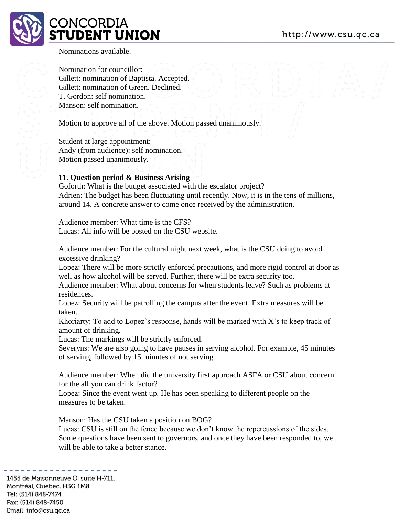

Nominations available.

Nomination for councillor: Gillett: nomination of Baptista. Accepted. Gillett: nomination of Green. Declined. T. Gordon: self nomination. Manson: self nomination.

Motion to approve all of the above. Motion passed unanimously.

Student at large appointment: Andy (from audience): self nomination. Motion passed unanimously.

### **11. Question period & Business Arising**

Goforth: What is the budget associated with the escalator project? Adrien: The budget has been fluctuating until recently. Now, it is in the tens of millions, around 14. A concrete answer to come once received by the administration.

Audience member: What time is the CFS? Lucas: All info will be posted on the CSU website.

Audience member: For the cultural night next week, what is the CSU doing to avoid excessive drinking?

Lopez: There will be more strictly enforced precautions, and more rigid control at door as well as how alcohol will be served. Further, there will be extra security too.

Audience member: What about concerns for when students leave? Such as problems at residences.

Lopez: Security will be patrolling the campus after the event. Extra measures will be taken.

Khoriarty: To add to Lopez's response, hands will be marked with X's to keep track of amount of drinking.

Lucas: The markings will be strictly enforced.

Severyns: We are also going to have pauses in serving alcohol. For example, 45 minutes of serving, followed by 15 minutes of not serving.

Audience member: When did the university first approach ASFA or CSU about concern for the all you can drink factor?

Lopez: Since the event went up. He has been speaking to different people on the measures to be taken.

Manson: Has the CSU taken a position on BOG?

Lucas: CSU is still on the fence because we don't know the repercussions of the sides. Some questions have been sent to governors, and once they have been responded to, we will be able to take a better stance.